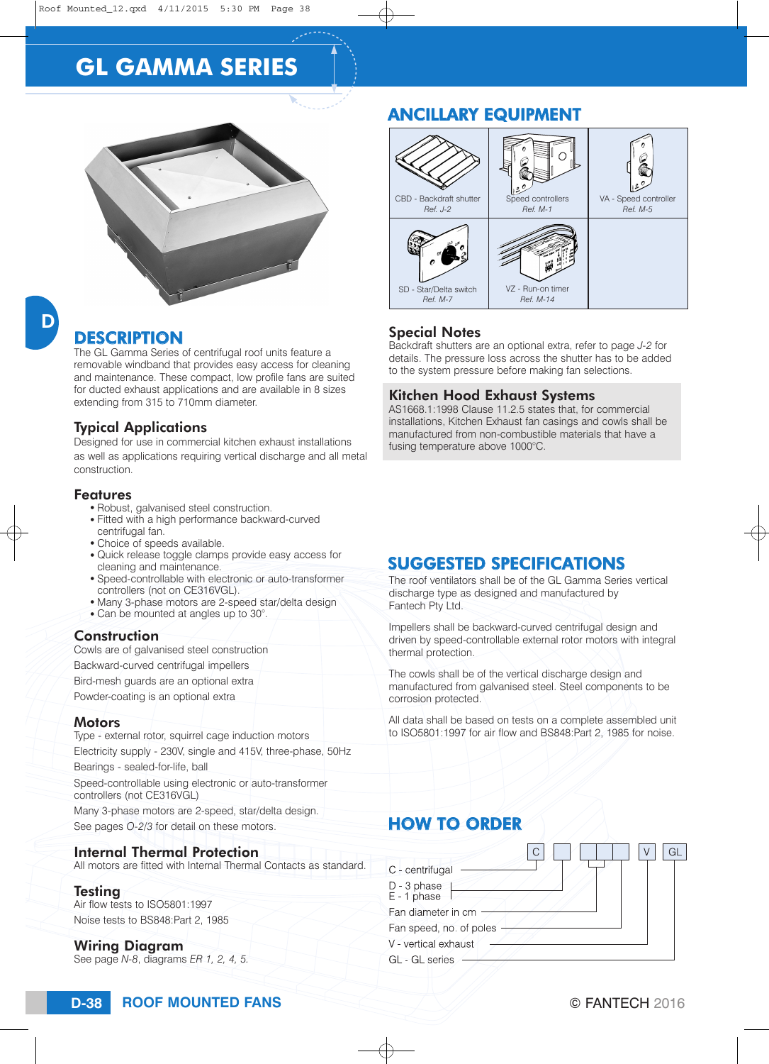# **GL GAMMA SERIES**



# **DESCRIPTION**

The GL Gamma Series of centrifugal roof units feature a removable windband that provides easy access for cleaning and maintenance. These compact, low profile fans are suited for ducted exhaust applications and are available in 8 sizes extending from 315 to 710mm diameter.

#### Typical Applications

Designed for use in commercial kitchen exhaust installations as well as applications requiring vertical discharge and all metal construction.

#### Features

- Robust, galvanised steel construction.
- Fitted with a high performance backward-curved centrifugal fan.
- Choice of speeds available.
- Quick release toggle clamps provide easy access for cleaning and maintenance.
- Speed-controllable with electronic or auto-transformer controllers (not on CE316VGL).
- Many 3-phase motors are 2-speed star/delta design
- Can be mounted at angles up to 30°.

#### Construction

Cowls are of galvanised steel construction Backward-curved centrifugal impellers Bird-mesh guards are an optional extra Powder-coating is an optional extra Motors

Type - external rotor, squirrel cage induction motors Electricity supply - 230V, single and 415V, three-phase, 50Hz Bearings - sealed-for-life, ball Speed-controllable using electronic or auto-transformer controllers (not CE316VGL) Many 3-phase motors are 2-speed, star/delta design. See pages *O-2/3* for detail on these motors.

### Internal Thermal Protection

All motors are fitted with Internal Thermal Contacts as standard.

#### **Testing**

Air flow tests to ISO5801:1997 Noise tests to BS848:Part 2, 1985

#### Wiring Diagram

See page *N-8*, diagrams *ER 1, 2, 4, 5.*

# ANCILLARY EQUIPMENT



#### Special Notes

Backdraft shutters are an optional extra, refer to page *J-2* for details. The pressure loss across the shutter has to be added to the system pressure before making fan selections.

#### Kitchen Hood Exhaust Systems

AS1668.1:1998 Clause 11.2.5 states that, for commercial installations, Kitchen Exhaust fan casings and cowls shall be manufactured from non-combustible materials that have a fusing temperature above 1000°C.

### SUGGESTED SPECIFICATIONS

The roof ventilators shall be of the GL Gamma Series vertical discharge type as designed and manufactured by Fantech Pty Ltd.

Impellers shall be backward-curved centrifugal design and driven by speed-controllable external rotor motors with integral thermal protection.

The cowls shall be of the vertical discharge design and manufactured from galvanised steel. Steel components to be corrosion protected.

All data shall be based on tests on a complete assembled unit to ISO5801:1997 for air flow and BS848:Part 2, 1985 for noise.

### HOW TO ORDER

| C - centrifugal            |  |
|----------------------------|--|
| D - 3 phase<br>E - 1 phase |  |
| Fan diameter in cm         |  |
| Fan speed, no. of poles    |  |
| V - vertical exhaust       |  |
| GL - GL series             |  |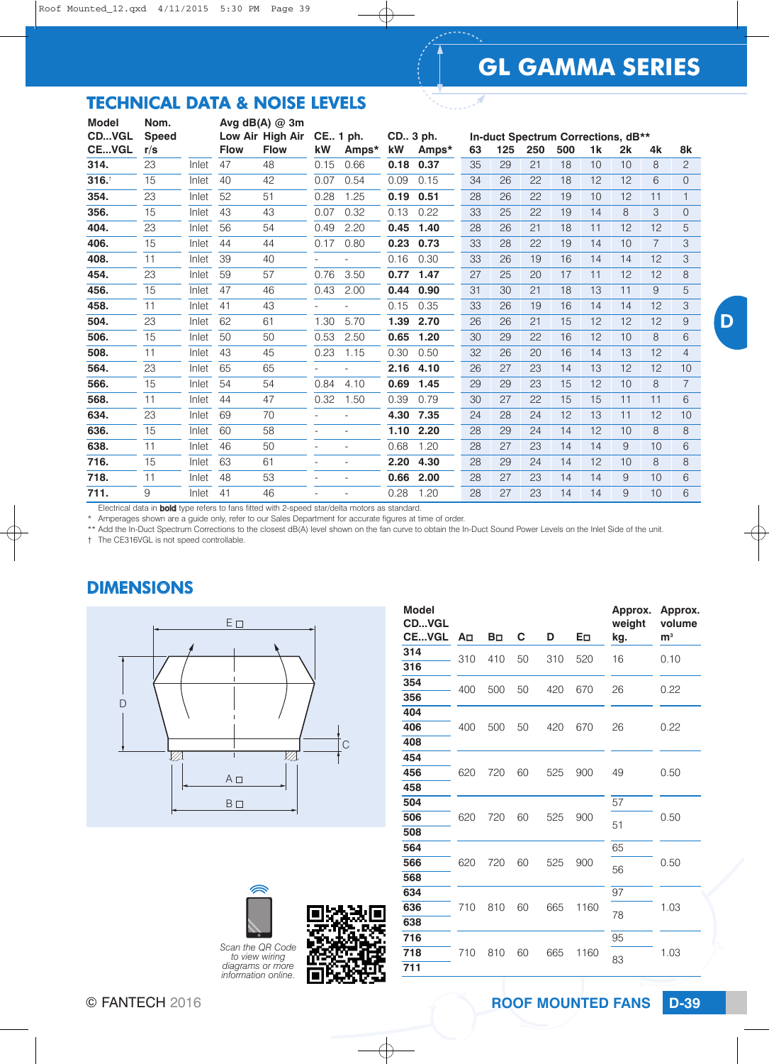# **GL GAMMA SERIES**

×

D

# TECHNICAL DATA & NOISE LEVELS

| <b>Model</b> | Nom.         |       |             | Avg $dB(A)$ @ 3m |            |       |      |            |    |     |     |                                    |                |    |                |                |
|--------------|--------------|-------|-------------|------------------|------------|-------|------|------------|----|-----|-----|------------------------------------|----------------|----|----------------|----------------|
| CDVGL        | <b>Speed</b> |       |             | Low Air High Air | CE., 1 ph. |       |      | CD., 3 ph. |    |     |     | In-duct Spectrum Corrections, dB** |                |    |                |                |
| <b>CEVGL</b> | r/s          |       | <b>Flow</b> | <b>Flow</b>      | kW         | Amps* | kW   | Amps*      | 63 | 125 | 250 | 500                                | 1 <sub>k</sub> | 2k | 4k             | 8k             |
| 314.         | 23           | Inlet | 47          | 48               | 0.15       | 0.66  | 0.18 | 0.37       | 35 | 29  | 21  | 18                                 | 10             | 10 | 8              | $\overline{c}$ |
| 316.         | 15           | Inlet | 40          | 42               | 0.07       | 0.54  | 0.09 | 0.15       | 34 | 26  | 22  | 18                                 | 12             | 12 | 6              | $\Omega$       |
| 354.         | 23           | Inlet | 52          | 51               | 0.28       | 1.25  | 0.19 | 0.51       | 28 | 26  | 22  | 19                                 | 10             | 12 | 11             | $\mathbf{1}$   |
| 356.         | 15           | Inlet | 43          | 43               | 0.07       | 0.32  | 0.13 | 0.22       | 33 | 25  | 22  | 19                                 | 14             | 8  | 3              | $\Omega$       |
| 404.         | 23           | Inlet | 56          | 54               | 0.49       | 2.20  | 0.45 | 1.40       | 28 | 26  | 21  | 18                                 | 11             | 12 | 12             | 5              |
| 406.         | 15           | Inlet | 44          | 44               | 0.17       | 0.80  | 0.23 | 0.73       | 33 | 28  | 22  | 19                                 | 14             | 10 | $\overline{7}$ | 3              |
| 408.         | 11           | Inlet | 39          | 40               |            |       | 0.16 | 0.30       | 33 | 26  | 19  | 16                                 | 14             | 14 | 12             | 3              |
| 454.         | 23           | Inlet | 59          | 57               | 0.76       | 3.50  | 0.77 | 1.47       | 27 | 25  | 20  | 17                                 | 11             | 12 | 12             | 8              |
| 456.         | 15           | Inlet | 47          | 46               | 0.43       | 2.00  | 0.44 | 0.90       | 31 | 30  | 21  | 18                                 | 13             | 11 | 9              | 5              |
| 458.         | 11           | Inlet | 41          | 43               |            |       | 0.15 | 0.35       | 33 | 26  | 19  | 16                                 | 14             | 14 | 12             | 3              |
| 504.         | 23           | Inlet | 62          | 61               | 1.30       | 5.70  | 1.39 | 2.70       | 26 | 26  | 21  | 15                                 | 12             | 12 | 12             | $\overline{9}$ |
| 506.         | 15           | Inlet | 50          | 50               | 0.53       | 2.50  | 0.65 | 1.20       | 30 | 29  | 22  | 16                                 | 12             | 10 | 8              | 6              |
| 508.         | 11           | Inlet | 43          | 45               | 0.23       | 1.15  | 0.30 | 0.50       | 32 | 26  | 20  | 16                                 | 14             | 13 | 12             | 4              |
| 564.         | 23           | Inlet | 65          | 65               |            |       | 2.16 | 4.10       | 26 | 27  | 23  | 14                                 | 13             | 12 | 12             | 10             |
| 566.         | 15           | Inlet | 54          | 54               | 0.84       | 4.10  | 0.69 | 1.45       | 29 | 29  | 23  | 15                                 | 12             | 10 | 8              | $\overline{7}$ |
| 568.         | 11           | Inlet | 44          | 47               | 0.32       | 1.50  | 0.39 | 0.79       | 30 | 27  | 22  | 15                                 | 15             | 11 | 11             | 6              |
| 634.         | 23           | Inlet | 69          | 70               |            |       | 4.30 | 7.35       | 24 | 28  | 24  | 12                                 | 13             | 11 | 12             | 10             |
| 636.         | 15           | Inlet | 60          | 58               |            |       | 1.10 | 2.20       | 28 | 29  | 24  | 14                                 | 12             | 10 | 8              | 8              |
| 638.         | 11           | Inlet | 46          | 50               |            |       | 0.68 | 1.20       | 28 | 27  | 23  | 14                                 | 14             | 9  | 10             | 6              |
| 716.         | 15           | Inlet | 63          | 61               |            |       | 2.20 | 4.30       | 28 | 29  | 24  | 14                                 | 12             | 10 | 8              | 8              |
| 718.         | 11           | Inlet | 48          | 53               |            |       | 0.66 | 2.00       | 28 | 27  | 23  | 14                                 | 14             | 9  | 10             | 6              |
| 711.         | 9            | Inlet | 41          | 46               |            |       | 0.28 | 1.20       | 28 | 27  | 23  | 14                                 | 14             | 9  | 10             | 6              |
|              | .            |       |             |                  |            |       |      |            |    |     |     |                                    |                |    |                |                |

Electrical data in **bold** type refers to fans fitted with 2-speed star/delta motors as standard.

\* Amperages shown are a guide only, refer to our Sales Department for accurate figures at time of order.

\*\* Add the In-Duct Spectrum Corrections to the closest dB(A) level shown on the fan curve to obtain the In-Duct Sound Power Levels on the Inlet Side of the unit.

† The CE316VGL is not speed controllable.

# DIMENSIONS



| <b>Model</b><br><b>CDVGL</b><br><b>CEVGL</b> | A⊡  | Bп  | С  | D   | Eп   | Approx.<br>weight<br>kg. | Approx.<br>volume<br>${\rm m}^3$ |  |
|----------------------------------------------|-----|-----|----|-----|------|--------------------------|----------------------------------|--|
| 314<br>316                                   | 310 | 410 | 50 | 310 | 520  | 16                       | 0.10                             |  |
| 354                                          | 400 | 500 | 50 | 420 | 670  | 26                       | 0.22                             |  |
| 356<br>404                                   |     |     |    |     |      |                          |                                  |  |
| 406<br>408                                   | 400 | 500 | 50 | 420 | 670  | 26                       | 0.22                             |  |
| 454                                          |     |     |    |     |      |                          |                                  |  |
| 456<br>458                                   | 620 | 720 | 60 | 525 | 900  | 49                       | 0.50                             |  |
| 504                                          |     |     |    | 525 | 900  | 57                       |                                  |  |
| 506<br>508                                   | 620 | 720 | 60 |     |      | 51                       | 0.50                             |  |
| 564<br>566                                   | 620 | 720 | 60 | 525 | 900  | 65                       | 0.50                             |  |
| 568                                          |     |     |    |     |      | 56                       |                                  |  |
| 634<br>636                                   | 710 | 810 | 60 | 665 | 1160 | 97                       | 1.03                             |  |
| 638                                          |     |     |    |     |      | 78                       |                                  |  |
| 716<br>718                                   | 710 | 810 | 60 | 665 | 1160 | 95                       | 1.03                             |  |
| 711                                          |     |     |    |     |      | 83                       |                                  |  |

| Scan the QR Code                        |  |
|-----------------------------------------|--|
| to view wiring                          |  |
| diagrams or more<br>information online. |  |
|                                         |  |